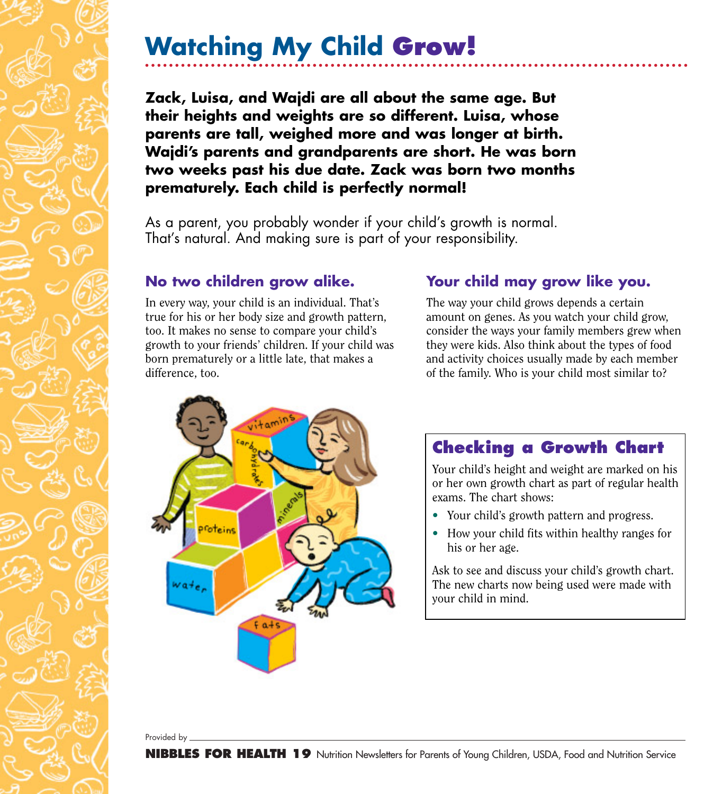## **Watching My Child Grow!**

**Zack, Luisa, and Wajdi are all about the same age. But their heights and weights are so different. Luisa, whose parents are tall, weighed more and was longer at birth. Wajdi's parents and grandparents are short. He was born two weeks past his due date. Zack was born two months prematurely. Each child is perfectly normal!**

As a parent, you probably wonder if your child's growth is normal. That's natural. And making sure is part of your responsibility.

## **No two children grow alike.**

In every way, your child is an individual. That's true for his or her body size and growth pattern, too. It makes no sense to compare your child's growth to your friends' children. If your child was born prematurely or a little late, that makes a difference, too.

## **Your child may grow like you.**

The way your child grows depends a certain amount on genes. As you watch your child grow, consider the ways your family members grew when they were kids. Also think about the types of food and activity choices usually made by each member of the family. Who is your child most similar to?



## **Checking a Growth Chart**

Your child's height and weight are marked on his or her own growth chart as part of regular health exams. The chart shows:

- Your child's growth pattern and progress.
- How your child fits within healthy ranges for his or her age.

Ask to see and discuss your child's growth chart. The new charts now being used were made with your child in mind.

Provided by